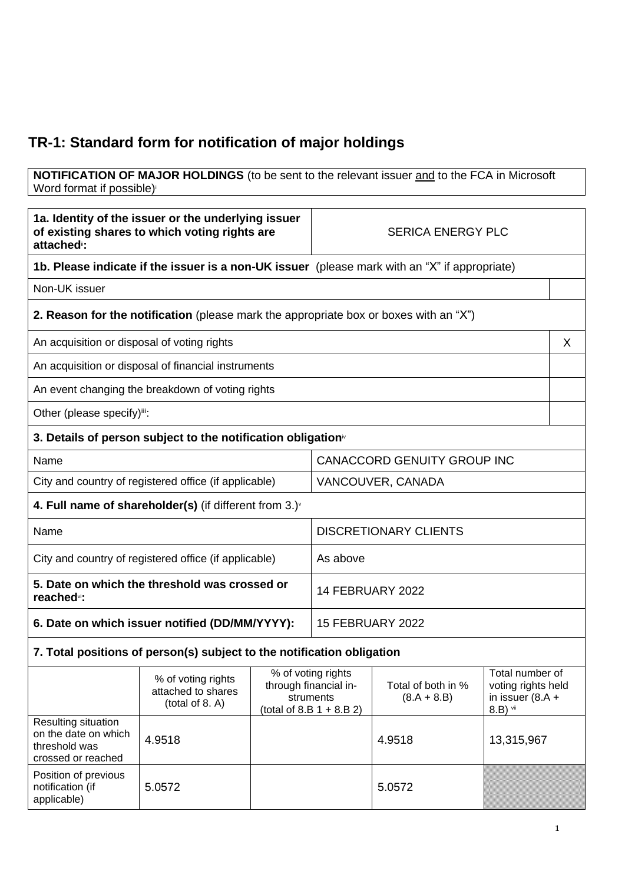## **TR-1: Standard form for notification of major holdings**

## **NOTIFICATION OF MAJOR HOLDINGS** (to be sent to the relevant issuer and to the FCA in Microsoft Word format if possible)

| 1a. Identity of the issuer or the underlying issuer<br>of existing shares to which voting rights are<br>attached <sup>®</sup> : |                                                                                               | <b>SERICA ENERGY PLC</b>                                                                |                                    |                                     |                                                                         |   |
|---------------------------------------------------------------------------------------------------------------------------------|-----------------------------------------------------------------------------------------------|-----------------------------------------------------------------------------------------|------------------------------------|-------------------------------------|-------------------------------------------------------------------------|---|
|                                                                                                                                 | 1b. Please indicate if the issuer is a non-UK issuer (please mark with an "X" if appropriate) |                                                                                         |                                    |                                     |                                                                         |   |
| Non-UK issuer                                                                                                                   |                                                                                               |                                                                                         |                                    |                                     |                                                                         |   |
|                                                                                                                                 | <b>2. Reason for the notification</b> (please mark the appropriate box or boxes with an "X")  |                                                                                         |                                    |                                     |                                                                         |   |
| An acquisition or disposal of voting rights                                                                                     |                                                                                               |                                                                                         |                                    |                                     |                                                                         | X |
|                                                                                                                                 | An acquisition or disposal of financial instruments                                           |                                                                                         |                                    |                                     |                                                                         |   |
|                                                                                                                                 | An event changing the breakdown of voting rights                                              |                                                                                         |                                    |                                     |                                                                         |   |
| Other (please specify)iii:                                                                                                      |                                                                                               |                                                                                         |                                    |                                     |                                                                         |   |
| 3. Details of person subject to the notification obligation <sup>®</sup>                                                        |                                                                                               |                                                                                         |                                    |                                     |                                                                         |   |
| Name                                                                                                                            |                                                                                               |                                                                                         | <b>CANACCORD GENUITY GROUP INC</b> |                                     |                                                                         |   |
|                                                                                                                                 | City and country of registered office (if applicable)                                         |                                                                                         | VANCOUVER, CANADA                  |                                     |                                                                         |   |
|                                                                                                                                 | 4. Full name of shareholder(s) (if different from $3.$ ) $\sqrt{ }$                           |                                                                                         |                                    |                                     |                                                                         |   |
| Name                                                                                                                            |                                                                                               |                                                                                         |                                    | <b>DISCRETIONARY CLIENTS</b>        |                                                                         |   |
| City and country of registered office (if applicable)                                                                           |                                                                                               |                                                                                         | As above                           |                                     |                                                                         |   |
| 5. Date on which the threshold was crossed or<br>reached <sup>vi</sup> :                                                        |                                                                                               |                                                                                         | 14 FEBRUARY 2022                   |                                     |                                                                         |   |
| 6. Date on which issuer notified (DD/MM/YYYY):                                                                                  |                                                                                               | <b>15 FEBRUARY 2022</b>                                                                 |                                    |                                     |                                                                         |   |
|                                                                                                                                 | 7. Total positions of person(s) subject to the notification obligation                        |                                                                                         |                                    |                                     |                                                                         |   |
|                                                                                                                                 | % of voting rights<br>attached to shares<br>(total of 8. A)                                   | % of voting rights<br>through financial in-<br>struments<br>(total of 8.B $1 + 8.B 2$ ) |                                    | Total of both in %<br>$(8.A + 8.B)$ | Total number of<br>voting rights held<br>in issuer $(8.A +$<br>8.B) vii |   |
| Resulting situation<br>on the date on which<br>threshold was<br>crossed or reached                                              | 4.9518                                                                                        |                                                                                         |                                    | 4.9518                              | 13,315,967                                                              |   |
| Position of previous<br>notification (if<br>applicable)                                                                         | 5.0572                                                                                        |                                                                                         |                                    | 5.0572                              |                                                                         |   |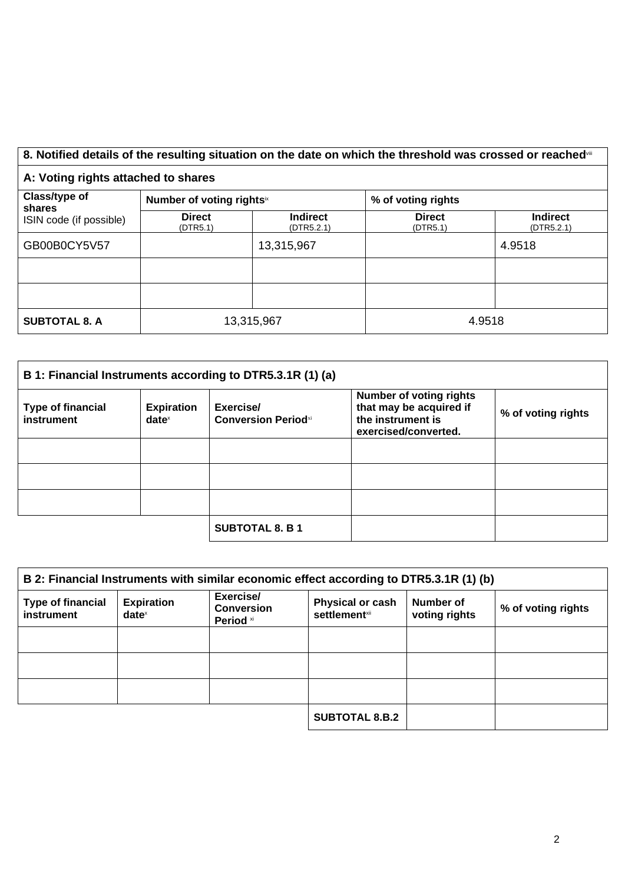## 8. Notified details of the resulting situation on the date on which the threshold was crossed or reached<sup>vii</sup>

## **A: Voting rights attached to shares**

| Class/type of<br>shares<br>ISIN code (if possible) | Number of voting rightsix |                               | % of voting rights        |                               |  |
|----------------------------------------------------|---------------------------|-------------------------------|---------------------------|-------------------------------|--|
|                                                    | <b>Direct</b><br>(DTR5.1) | <b>Indirect</b><br>(DTR5.2.1) | <b>Direct</b><br>(DTR5.1) | <b>Indirect</b><br>(DTR5.2.1) |  |
| GB00B0CY5V57                                       |                           | 13,315,967                    |                           | 4.9518                        |  |
|                                                    |                           |                               |                           |                               |  |
|                                                    |                           |                               |                           |                               |  |
| <b>SUBTOTAL 8. A</b>                               | 13,315,967                |                               | 4.9518                    |                               |  |

| B 1: Financial Instruments according to DTR5.3.1R (1) (a) |                                                        |                                         |                                                                                                        |                    |
|-----------------------------------------------------------|--------------------------------------------------------|-----------------------------------------|--------------------------------------------------------------------------------------------------------|--------------------|
| <b>Type of financial</b><br>instrument                    | <b>Expiration</b><br>$date^{\scriptscriptstyle\times}$ | Exercise/<br><b>Conversion Periodxi</b> | <b>Number of voting rights</b><br>that may be acquired if<br>the instrument is<br>exercised/converted. | % of voting rights |
|                                                           |                                                        |                                         |                                                                                                        |                    |
|                                                           |                                                        |                                         |                                                                                                        |                    |
|                                                           |                                                        |                                         |                                                                                                        |                    |
|                                                           |                                                        | <b>SUBTOTAL 8. B 1</b>                  |                                                                                                        |                    |

| B 2: Financial Instruments with similar economic effect according to DTR5.3.1R (1) (b) |                                      |                                             |                                                  |                            |                    |
|----------------------------------------------------------------------------------------|--------------------------------------|---------------------------------------------|--------------------------------------------------|----------------------------|--------------------|
| <b>Type of financial</b><br>instrument                                                 | <b>Expiration</b><br>$date^{\times}$ | Exercise/<br><b>Conversion</b><br>Period xi | <b>Physical or cash</b><br><b>settlement</b> xii | Number of<br>voting rights | % of voting rights |
|                                                                                        |                                      |                                             |                                                  |                            |                    |
|                                                                                        |                                      |                                             |                                                  |                            |                    |
|                                                                                        |                                      |                                             |                                                  |                            |                    |
|                                                                                        |                                      |                                             | <b>SUBTOTAL 8.B.2</b>                            |                            |                    |